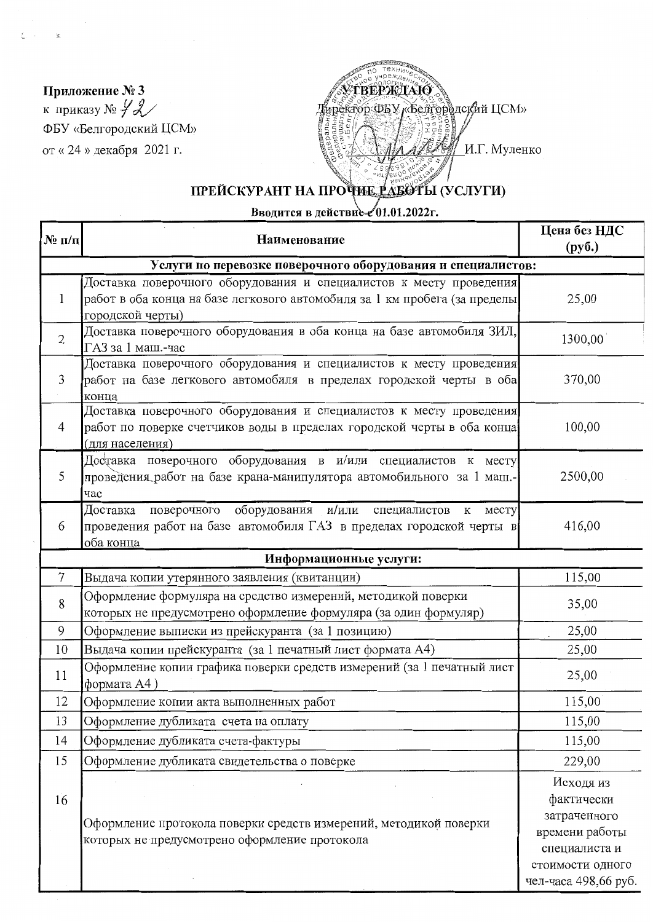Приложение № 3 к приказу №  $\mathcal{L}$ ФБУ «Белгородский ЦСМ» от «24 » декабря 2021 г.

 $\mathcal{L}$ 

Ł.  $\mathcal{L}_{\mathcal{A}}$ 



## ПРЕЙСКУРАНТ НА ПРОЧИЕ РАБОТЫ (УСЛУГИ)

Вводится в действие 201.01.2022г.

| $N_2$ $\pi/\pi$                                              | Наименование                                                                                                                                                          | Цена без НДС<br>$\left(\frac{\rho}{\rho}\right)$                                                                       |  |  |
|--------------------------------------------------------------|-----------------------------------------------------------------------------------------------------------------------------------------------------------------------|------------------------------------------------------------------------------------------------------------------------|--|--|
| Услуги по перевозке поверочного оборудования и специалистов: |                                                                                                                                                                       |                                                                                                                        |  |  |
| 1                                                            | Доставка поверочного оборудования и специалистов к месту проведения<br>работ в оба конца на базе легкового автомобиля за 1 км пробега (за пределы<br>городской черты) | 25,00                                                                                                                  |  |  |
| $\overline{2}$                                               | Доставка поверочного оборудования в оба конца на базе автомобиля ЗИЛ,<br>ГАЗ за 1 маш.-час                                                                            | 1300,00                                                                                                                |  |  |
| 3                                                            | Доставка поверочного оборудования и специалистов к месту проведения<br>работ на базе легкового автомобиля в пределах городской черты в оба<br>конца                   | 370,00                                                                                                                 |  |  |
| $\overline{4}$                                               | Доставка поверочного оборудования и специалистов к месту проведения<br>работ по поверке счетчиков воды в пределах городской черты в оба конца<br>(для населения)      | 100,00                                                                                                                 |  |  |
| 5                                                            | Доставка поверочного оборудования в и/или специалистов к месту<br>проведения работ на базе крана-манипулятора автомобильного за 1 маш.-<br>час                        | 2500,00                                                                                                                |  |  |
| 6                                                            | поверочного оборудования и/или специалистов<br>Доставка<br>месту<br>$\mathbf K$<br>проведения работ на базе автомобиля ГАЗ в пределах городской черты в<br>оба конца  | 416,00                                                                                                                 |  |  |
| Информационные услуги:                                       |                                                                                                                                                                       |                                                                                                                        |  |  |
| $\tau$                                                       | Выдача копии утерянного заявления (квитанции)                                                                                                                         | 115,00                                                                                                                 |  |  |
| 8                                                            | Оформление формуляра на средство измерений, методикой поверки<br>которых не предусмотрено оформление формуляра (за один формуляр)                                     | 35,00                                                                                                                  |  |  |
| 9                                                            | Оформление выписки из прейскуранта (за 1 позицию)                                                                                                                     | 25,00                                                                                                                  |  |  |
| 10                                                           | Выдача копии прейскуранта (за 1 печатный лист формата А4)                                                                                                             | 25,00                                                                                                                  |  |  |
| 11                                                           | Оформление копии графика поверки средств измерений (за 1 печатный лист<br>формата А4)                                                                                 | 25,00                                                                                                                  |  |  |
| 12                                                           | Оформление копии акта выполненных работ                                                                                                                               | 115,00                                                                                                                 |  |  |
| 13                                                           | Оформление дубликата счета на оплату                                                                                                                                  | 115,00                                                                                                                 |  |  |
| 14                                                           | Оформление дубликата счета-фактуры                                                                                                                                    | 115,00                                                                                                                 |  |  |
| 15                                                           | Оформление дубликата свидетельства о поверке                                                                                                                          | 229,00                                                                                                                 |  |  |
| 16                                                           | Оформление протокола поверки средств измерений, методикой поверки<br>которых не предусмотрено оформление протокола                                                    | Исходя из<br>фактически<br>затраченного<br>времени работы<br>специалиста и<br>стоимости одного<br>чел-часа 498.66 руб. |  |  |